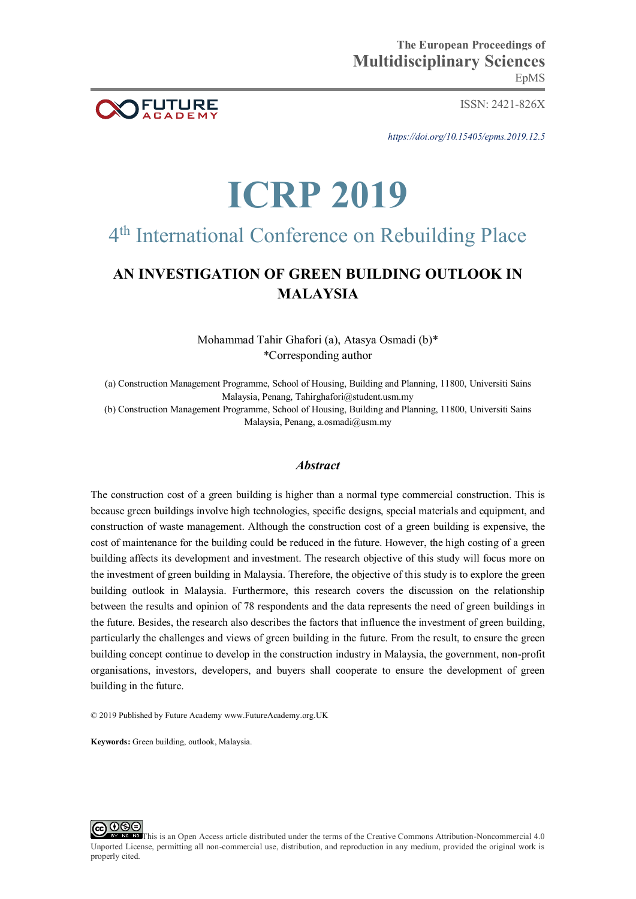

ISSN: 2421-826X

*https://doi.org/10.15405/epms.2019.12.5* 

# **ICRP 2019**

## 4 th International Conference on Rebuilding Place

### **AN INVESTIGATION OF GREEN BUILDING OUTLOOK IN MALAYSIA**

Mohammad Tahir Ghafori (a), Atasya Osmadi (b)\* \*Corresponding author

(a) Construction Management Programme, School of Housing, Building and Planning, 11800, Universiti Sains Malaysia, Penang, Tahirghafori@student.usm.my

(b) Construction Management Programme, School of Housing, Building and Planning, 11800, Universiti Sains Malaysia, Penang, a.osmadi@usm.my

#### *Abstract*

The construction cost of a green building is higher than a normal type commercial construction. This is because green buildings involve high technologies, specific designs, special materials and equipment, and construction of waste management. Although the construction cost of a green building is expensive, the cost of maintenance for the building could be reduced in the future. However, the high costing of a green building affects its development and investment. The research objective of this study will focus more on the investment of green building in Malaysia. Therefore, the objective of this study is to explore the green building outlook in Malaysia. Furthermore, this research covers the discussion on the relationship between the results and opinion of 78 respondents and the data represents the need of green buildings in the future. Besides, the research also describes the factors that influence the investment of green building, particularly the challenges and views of green building in the future. From the result, to ensure the green building concept continue to develop in the construction industry in Malaysia, the government, non-profit organisations, investors, developers, and buyers shall cooperate to ensure the development of green building in the future.

© 2019 Published by Future Academy www.FutureAcademy.org.UK

**Keywords:** Green building, outlook, Malaysia.



This is an Open Access article distributed under the terms of the Creative Commons Attribution-Noncommercial 4.0 Unported License, permitting all non-commercial use, distribution, and reproduction in any medium, provided the original work is properly cited.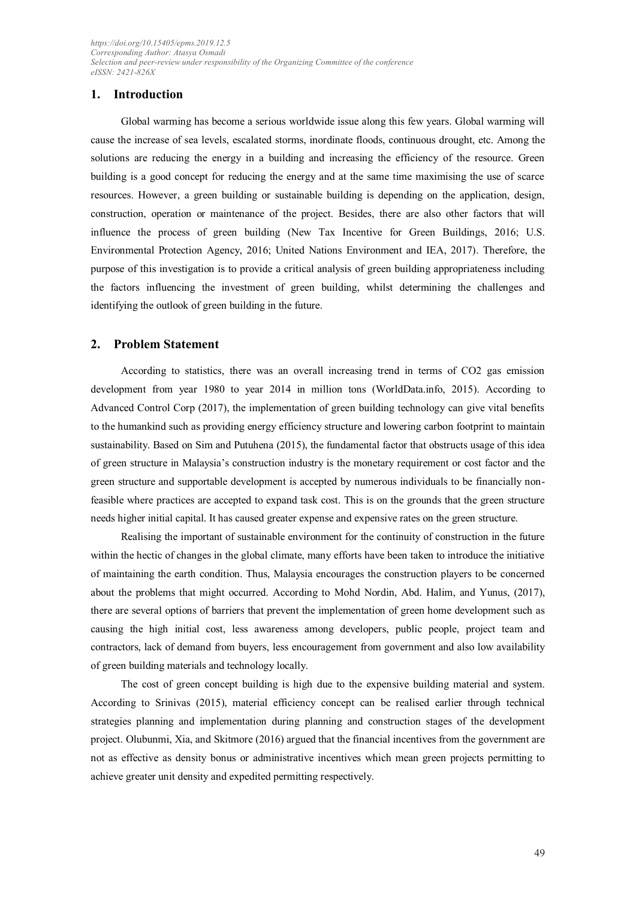#### **1. Introduction**

Global warming has become a serious worldwide issue along this few years. Global warming will cause the increase of sea levels, escalated storms, inordinate floods, continuous drought, etc. Among the solutions are reducing the energy in a building and increasing the efficiency of the resource. Green building is a good concept for reducing the energy and at the same time maximising the use of scarce resources. However, a green building or sustainable building is depending on the application, design, construction, operation or maintenance of the project. Besides, there are also other factors that will influence the process of green building (New Tax Incentive for Green Buildings, 2016; U.S. Environmental Protection Agency, 2016; United Nations Environment and IEA, 2017). Therefore, the purpose of this investigation is to provide a critical analysis of green building appropriateness including the factors influencing the investment of green building, whilst determining the challenges and identifying the outlook of green building in the future.

#### **2. Problem Statement**

According to statistics, there was an overall increasing trend in terms of CO2 gas emission development from year 1980 to year 2014 in million tons (WorldData.info, 2015). According to Advanced Control Corp (2017), the implementation of green building technology can give vital benefits to the humankind such as providing energy efficiency structure and lowering carbon footprint to maintain sustainability. Based on Sim and Putuhena (2015), the fundamental factor that obstructs usage of this idea of green structure in Malaysia's construction industry is the monetary requirement or cost factor and the green structure and supportable development is accepted by numerous individuals to be financially nonfeasible where practices are accepted to expand task cost. This is on the grounds that the green structure needs higher initial capital. It has caused greater expense and expensive rates on the green structure.

Realising the important of sustainable environment for the continuity of construction in the future within the hectic of changes in the global climate, many efforts have been taken to introduce the initiative of maintaining the earth condition. Thus, Malaysia encourages the construction players to be concerned about the problems that might occurred. According to Mohd Nordin, Abd. Halim, and Yunus, (2017), there are several options of barriers that prevent the implementation of green home development such as causing the high initial cost, less awareness among developers, public people, project team and contractors, lack of demand from buyers, less encouragement from government and also low availability of green building materials and technology locally.

The cost of green concept building is high due to the expensive building material and system. According to Srinivas (2015), material efficiency concept can be realised earlier through technical strategies planning and implementation during planning and construction stages of the development project. Olubunmi, Xia, and Skitmore (2016) argued that the financial incentives from the government are not as effective as density bonus or administrative incentives which mean green projects permitting to achieve greater unit density and expedited permitting respectively.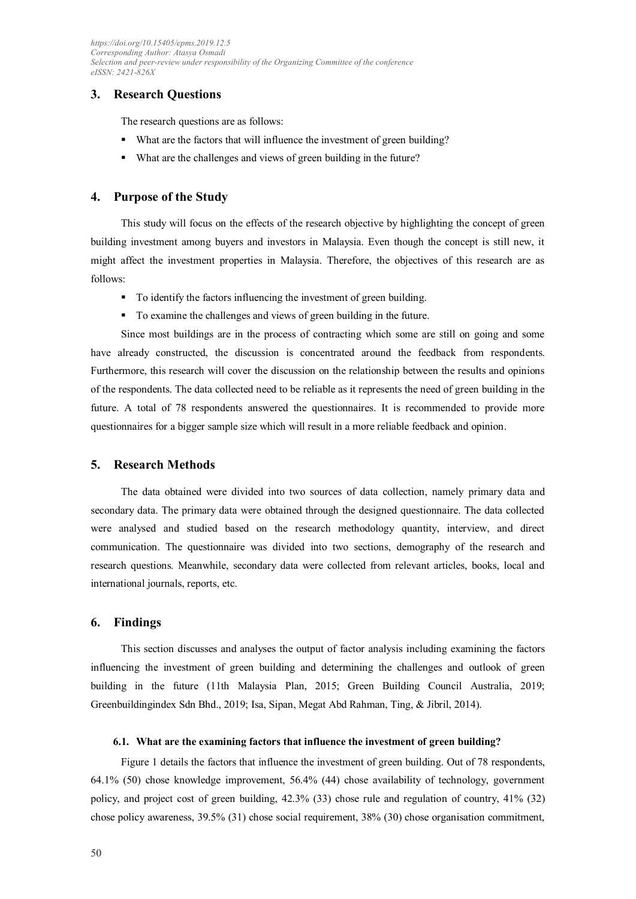#### **3. Research Questions**

The research questions are as follows:

- What are the factors that will influence the investment of green building?
- What are the challenges and views of green building in the future?

#### **4. Purpose of the Study**

This study will focus on the effects of the research objective by highlighting the concept of green building investment among buyers and investors in Malaysia. Even though the concept is still new, it might affect the investment properties in Malaysia. Therefore, the objectives of this research are as follows:

- To identify the factors influencing the investment of green building.
- To examine the challenges and views of green building in the future.

Since most buildings are in the process of contracting which some are still on going and some have already constructed, the discussion is concentrated around the feedback from respondents. Furthermore, this research will cover the discussion on the relationship between the results and opinions of the respondents. The data collected need to be reliable as it represents the need of green building in the future. A total of 78 respondents answered the questionnaires. It is recommended to provide more questionnaires for a bigger sample size which will result in a more reliable feedback and opinion.

#### **5. Research Methods**

The data obtained were divided into two sources of data collection, namely primary data and secondary data. The primary data were obtained through the designed questionnaire. The data collected were analysed and studied based on the research methodology quantity, interview, and direct communication. The questionnaire was divided into two sections, demography of the research and research questions. Meanwhile, secondary data were collected from relevant articles, books, local and international journals, reports, etc.

#### **6. Findings**

This section discusses and analyses the output of factor analysis including examining the factors influencing the investment of green building and determining the challenges and outlook of green building in the future (11th Malaysia Plan, 2015; Green Building Council Australia, 2019; Greenbuildingindex Sdn Bhd., 2019; Isa, Sipan, Megat Abd Rahman, Ting, & Jibril, 2014).

#### **6.1. What are the examining factors that influence the investment of green building?**

Figure 1 details the factors that influence the investment of green building. Out of 78 respondents, 64.1% (50) chose knowledge improvement, 56.4% (44) chose availability of technology, government policy, and project cost of green building, 42.3% (33) chose rule and regulation of country, 41% (32) chose policy awareness, 39.5% (31) chose social requirement, 38% (30) chose organisation commitment,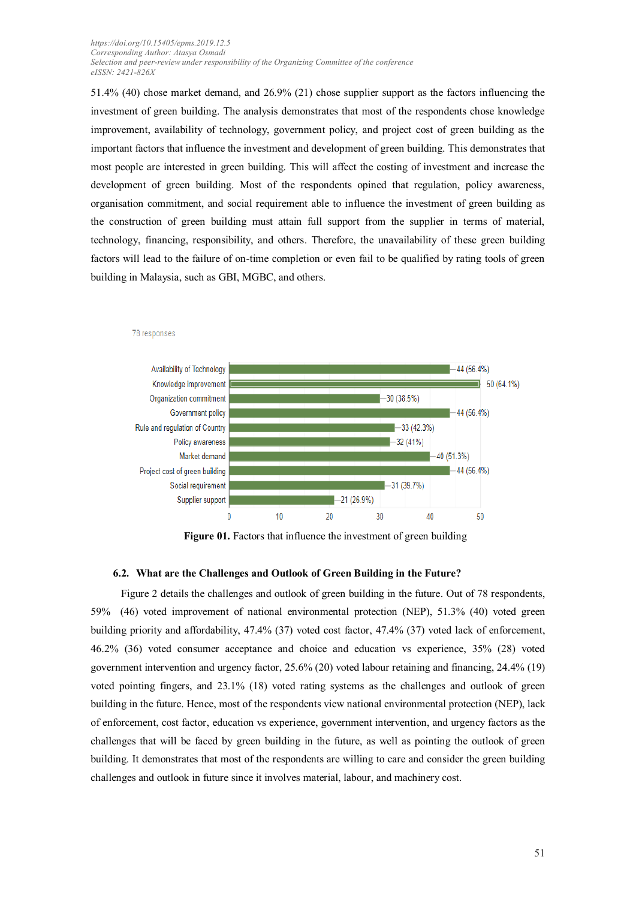51.4% (40) chose market demand, and 26.9% (21) chose supplier support as the factors influencing the investment of green building. The analysis demonstrates that most of the respondents chose knowledge improvement, availability of technology, government policy, and project cost of green building as the important factors that influence the investment and development of green building. This demonstrates that most people are interested in green building. This will affect the costing of investment and increase the development of green building. Most of the respondents opined that regulation, policy awareness, organisation commitment, and social requirement able to influence the investment of green building as the construction of green building must attain full support from the supplier in terms of material, technology, financing, responsibility, and others. Therefore, the unavailability of these green building factors will lead to the failure of on-time completion or even fail to be qualified by rating tools of green building in Malaysia, such as GBI, MGBC, and others.



#### 78 responses

**Figure 01.** Factors that influence the investment of green building

#### **6.2. What are the Challenges and Outlook of Green Building in the Future?**

Figure 2 details the challenges and outlook of green building in the future. Out of 78 respondents, 59% (46) voted improvement of national environmental protection (NEP), 51.3% (40) voted green building priority and affordability, 47.4% (37) voted cost factor, 47.4% (37) voted lack of enforcement, 46.2% (36) voted consumer acceptance and choice and education vs experience, 35% (28) voted government intervention and urgency factor, 25.6% (20) voted labour retaining and financing, 24.4% (19) voted pointing fingers, and 23.1% (18) voted rating systems as the challenges and outlook of green building in the future. Hence, most of the respondents view national environmental protection (NEP), lack of enforcement, cost factor, education vs experience, government intervention, and urgency factors as the challenges that will be faced by green building in the future, as well as pointing the outlook of green building. It demonstrates that most of the respondents are willing to care and consider the green building challenges and outlook in future since it involves material, labour, and machinery cost.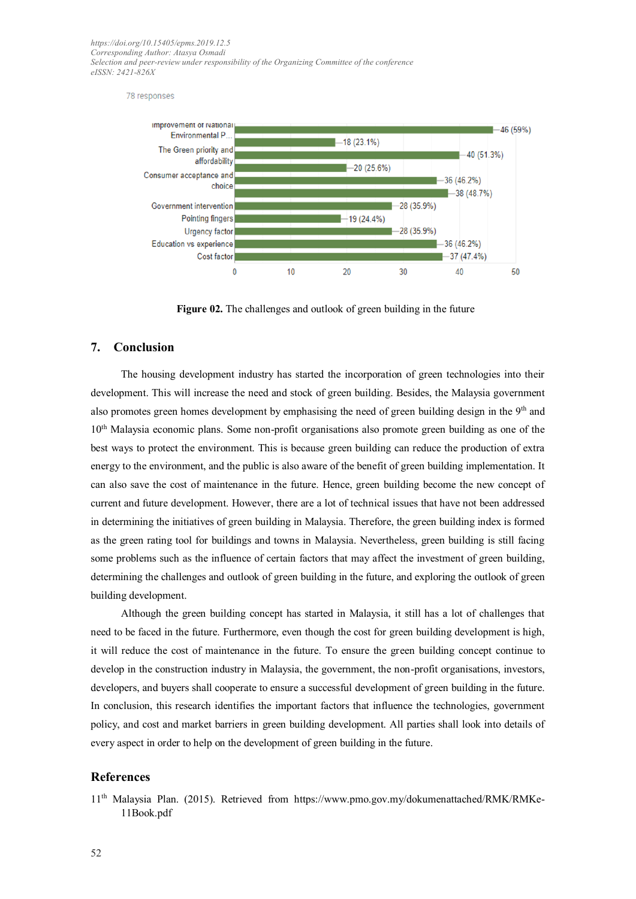78 responses



**Figure 02.** The challenges and outlook of green building in the future

#### **7. Conclusion**

The housing development industry has started the incorporation of green technologies into their development. This will increase the need and stock of green building. Besides, the Malaysia government also promotes green homes development by emphasising the need of green building design in the 9<sup>th</sup> and 10<sup>th</sup> Malaysia economic plans. Some non-profit organisations also promote green building as one of the best ways to protect the environment. This is because green building can reduce the production of extra energy to the environment, and the public is also aware of the benefit of green building implementation. It can also save the cost of maintenance in the future. Hence, green building become the new concept of current and future development. However, there are a lot of technical issues that have not been addressed in determining the initiatives of green building in Malaysia. Therefore, the green building index is formed as the green rating tool for buildings and towns in Malaysia. Nevertheless, green building is still facing some problems such as the influence of certain factors that may affect the investment of green building, determining the challenges and outlook of green building in the future, and exploring the outlook of green building development.

Although the green building concept has started in Malaysia, it still has a lot of challenges that need to be faced in the future. Furthermore, even though the cost for green building development is high, it will reduce the cost of maintenance in the future. To ensure the green building concept continue to develop in the construction industry in Malaysia, the government, the non-profit organisations, investors, developers, and buyers shall cooperate to ensure a successful development of green building in the future. In conclusion, this research identifies the important factors that influence the technologies, government policy, and cost and market barriers in green building development. All parties shall look into details of every aspect in order to help on the development of green building in the future.

#### **References**

11th Malaysia Plan. (2015). Retrieved from [https://www.pmo.gov.my/dokumenattached/RMK/RMKe-](https://www.pmo.gov.my/dokumenattached/RMK/RMKe-11Book.pdf)[11Book.pdf](https://www.pmo.gov.my/dokumenattached/RMK/RMKe-11Book.pdf)